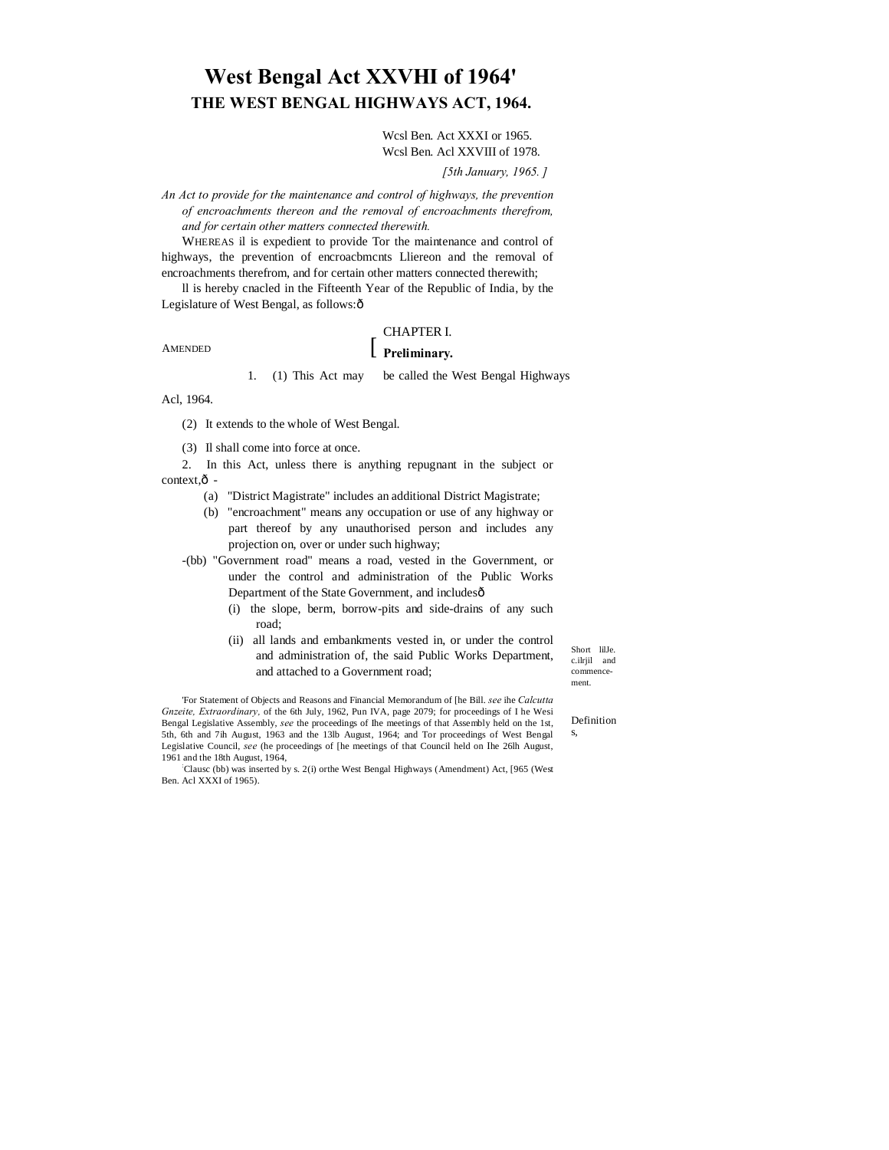# **West Bengal Act XXVHI of 1964' THE WEST BENGAL HIGHWAYS ACT, 1964.**

Wcsl Ben. Act XXXI or 1965. Wcsl Ben. Acl XXVIII of 1978.

*[5th January, 1965. ]*

*An Act to provide for the maintenance and control of highways, the prevention of encroachments thereon and the removal of encroachments therefrom, and for certain other matters connected therewith.*

WHEREAS il is expedient to provide Tor the maintenance and control of highways, the prevention of encroacbmcnts Lliereon and the removal of encroachments therefrom, and for certain other matters connected therewith;

ll is hereby cnacled in the Fifteenth Year of the Republic of India, by the Legislature of West Bengal, as follows: ô

**AMENDED** 

## CHAPTER I.

## **Preliminary.**

1. (1) This Act may be called the West Bengal Highways

Acl, 1964.

(2) It extends to the whole of West Bengal.

(3) Il shall come into force at once.

2. In this Act, unless there is anything repugnant in the subject or  $context.\hat{0}$  -

- (a) "District Magistrate" includes an additional District Magistrate;
- (b) "encroachment" means any occupation or use of any highway or part thereof by any unauthorised person and includes any projection on, over or under such highway;
- -(bb) "Government road" means a road, vested in the Government, or under the control and administration of the Public Works Department of the State Government, and includesô
	- (i) the slope, berm, borrow-pits and side-drains of any such road;
	- (ii) all lands and embankments vested in, or under the control and administration of, the said Public Works Department, and attached to a Government road;

Short lilJe. c.ilrjil and commencement.

'For Statement of Objects and Reasons and Financial Memorandum of [he Bill. *see* ihe *Calcutta Gnzeite, Extraordinary,* of the 6th July, 1962, Pun IVA, page 2079; for proceedings of I he Wesi Bengal Legislative Assembly, *see* the proceedings of Ihe meetings of that Assembly held on the 1st, 5th, 6th and 7ih August, 1963 and the 13lb August, 1964; and Tor proceedings of West Bengal Legislative Council, *see* (he proceedings of [he meetings of that Council held on Ihe 26lh August, 1961 and the 18th August, 1964,

: Clausc (bb) was inserted by s. 2(i) orthe West Bengal Highways (Amendment) Act, [965 (West Ben. Acl XXXI of 1965).

Definition s,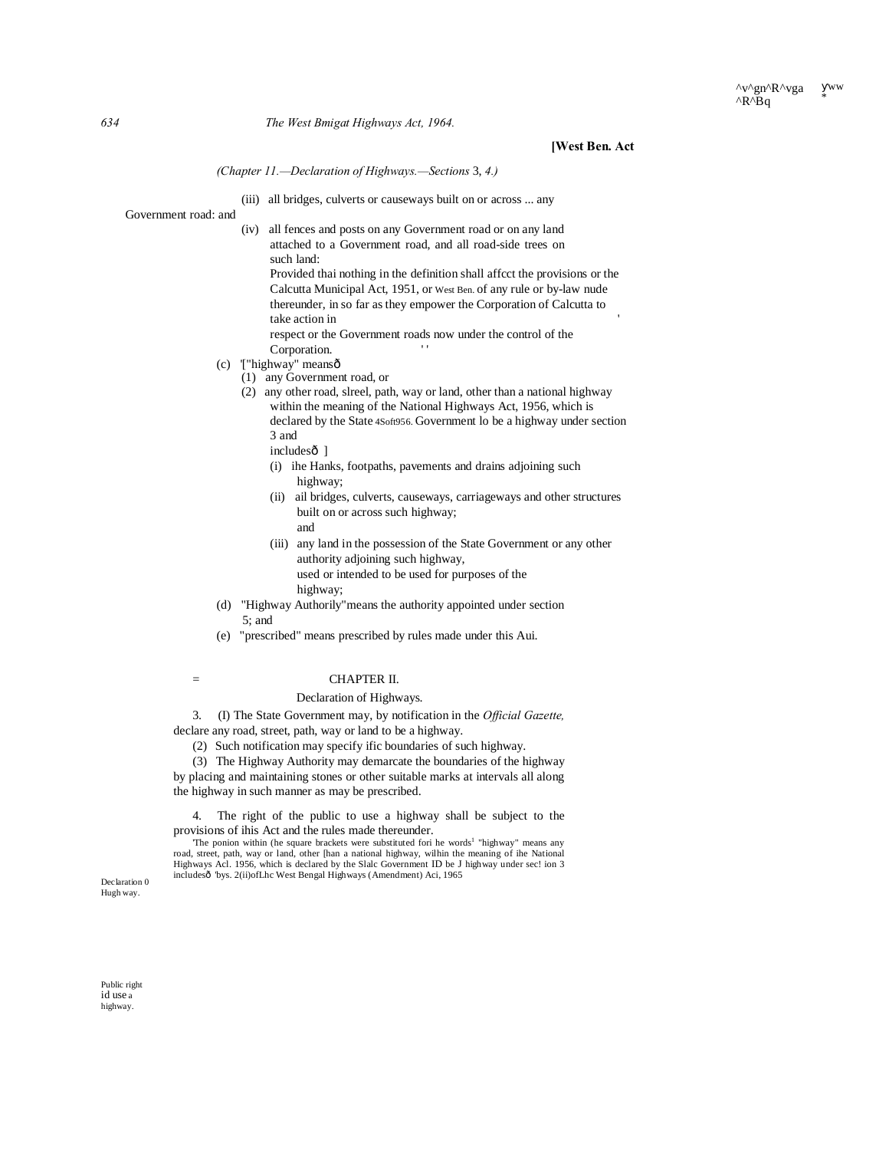### **[West Ben. Act**

*(Chapter 11.—Declaration of Highways.—Sections* 3, *4.)*

(iii) all bridges, culverts or causeways built on or across ... any

Government road: and (iv) all fences and posts on any Government road or on any land attached to a Government road, and all road-side trees on such land: Provided thai nothing in the definition shall affcct the provisions or the Calcutta Municipal Act, 1951, or West Ben. of any rule or by-law nude thereunder, in so far as they empower the Corporation of Calcutta to take action in ' respect or the Government roads now under the control of the Corporation.

- (c) '["highway" means—
	- (1) any Government road, or

(2) any other road, slreel, path, way or land, other than a national highway within the meaning of the National Highways Act, 1956, which is declared by the State 4Soft956. Government lo be a highway under section 3 and

- includes<sup>o</sup>]
- (i) ihe Hanks, footpaths, pavements and drains adjoining such highway;
- (ii) ail bridges, culverts, causeways, carriageways and other structures built on or across such highway;
	- and
- (iii) any land in the possession of the State Government or any other authority adjoining such highway, used or intended to be used for purposes of the highway;
- (d) "Highway Authorily"means the authority appointed under section 5; and
- (e) "prescribed" means prescribed by rules made under this Aui.
- 

## $=$  CHAPTER II.

Declaration of Highways.

3. (I) The State Government may, by notification in the *Official Gazette,* declare any road, street, path, way or land to be a highway.

- (2) Such notification may specify ific boundaries of such highway.
- (3) The Highway Authority may demarcate the boundaries of the highway

by placing and maintaining stones or other suitable marks at intervals all along the highway in such manner as may be prescribed.

4. The right of the public to use a highway shall be subject to the provisions of ihis Act and the rules made thereunder.

'The ponion within (he square brackets were substituted fori he words<sup>1</sup> "highway" means any road, street, path, way or land, other [han a national highway, wilhin the meaning of ihe National Highways Acl. 1956, which is declared by the Slalc Government ID be J highway under sec! ion 3 includesô 'bys. 2(ii)ofLhc West Bengal Highways (Amendment) Aci, 1965

Declaration 0 Hugh way.

Public right id use a highway.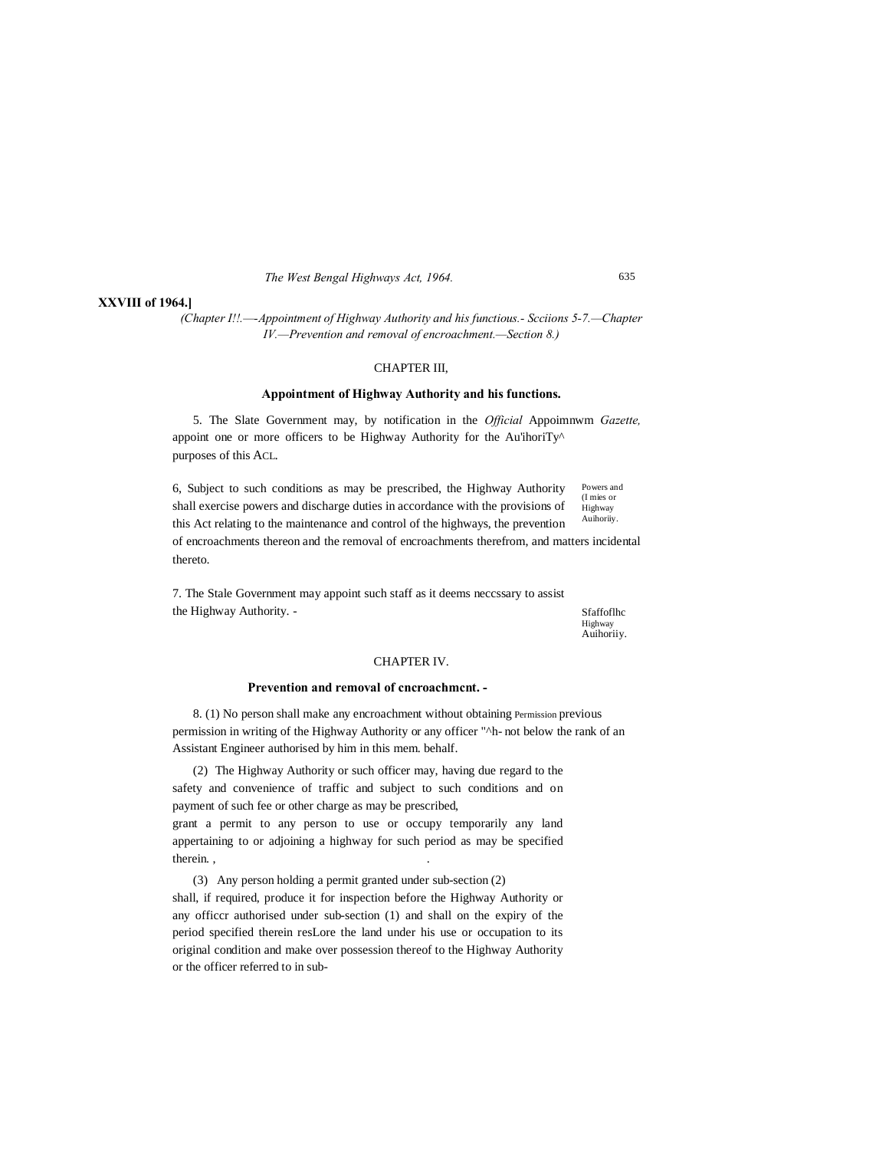#### **XXVIII of 1964.]**

*(Chapter I!!.—-Appointment of Highway Authority and his functious.- Scciions 5-7.—Chapter IV.—Prevention and removal of encroachment.—Section 8.)*

#### CHAPTER III,

#### **Appointment of Highway Authority and his functions.**

5. The Slate Government may, by notification in the *Official* Appoimnwm *Gazette,* appoint one or more officers to be Highway Authority for the Au'ihoriTy<sup>^</sup> purposes of this ACL.

Powers and (I mies or Highway Auihoriiy. 6, Subject to such conditions as may be prescribed, the Highway Authority shall exercise powers and discharge duties in accordance with the provisions of this Act relating to the maintenance and control of the highways, the prevention of encroachments thereon and the removal of encroachments therefrom, and matters incidental thereto.

7. The Stale Government may appoint such staff as it deems neccssary to assist the Highway Authority. -

Sfaffoflhc Highway Auihoriiy.

#### CHAPTER IV.

#### **Prevention and removal of cncroachmcnt. -**

8. (1) No person shall make any encroachment without obtaining Permission previous permission in writing of the Highway Authority or any officer "^h- not below the rank of an Assistant Engineer authorised by him in this mem. behalf.

(2) The Highway Authority or such officer may, having due regard to the safety and convenience of traffic and subject to such conditions and on payment of such fee or other charge as may be prescribed,

grant a permit to any person to use or occupy temporarily any land appertaining to or adjoining a highway for such period as may be specified therein. , .

(3) Any person holding a permit granted under sub-section (2) shall, if required, produce it for inspection before the Highway Authority or any officcr authorised under sub-section (1) and shall on the expiry of the period specified therein resLore the land under his use or occupation to its original condition and make over possession thereof to the Highway Authority or the officer referred to in sub635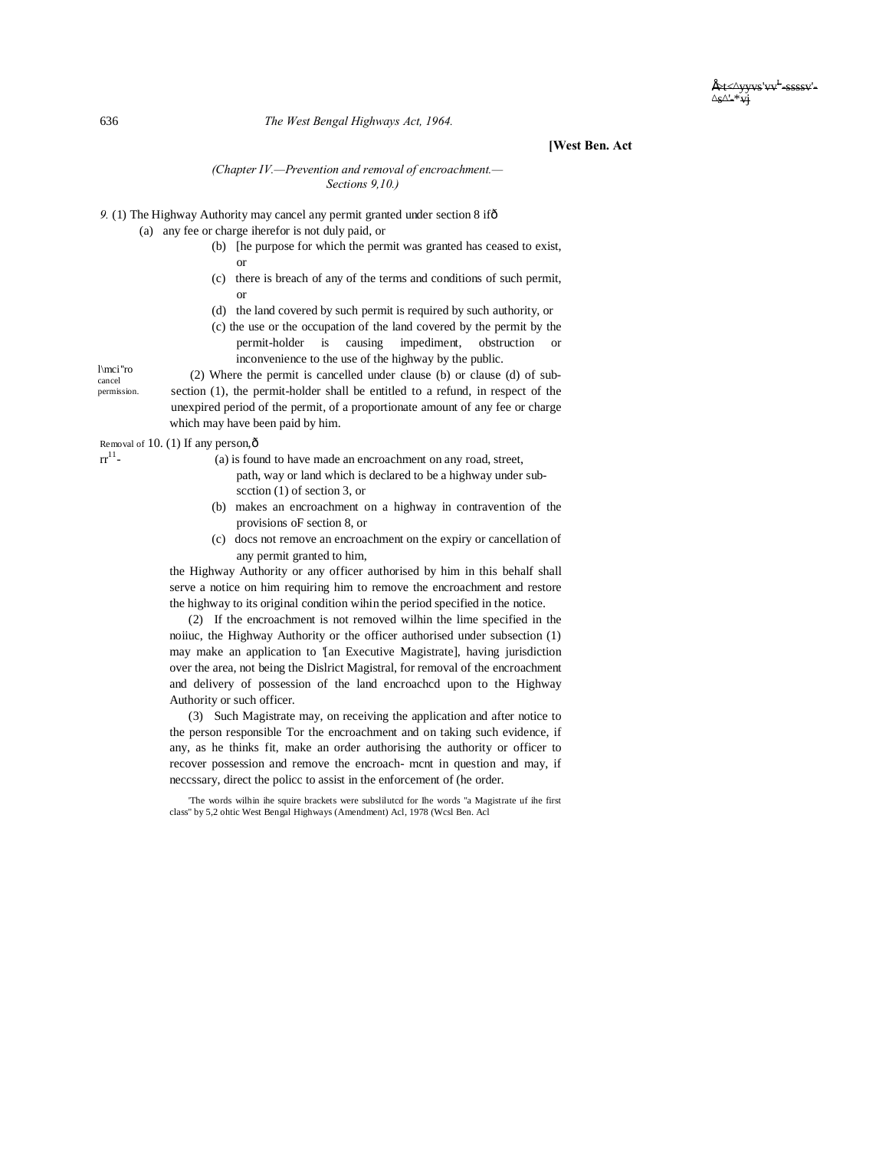#### **[West Ben. Act**

#### *(Chapter IV.—Prevention and removal of encroachment.— Sections 9,10.)*

9. (1) The Highway Authority may cancel any permit granted under section 8 if  $\delta$ 

(a) any fee or charge iherefor is not duly paid, or

which may have been paid by him.

- (b) [he purpose for which the permit was granted has ceased to exist, or
- (c) there is breach of any of the terms and conditions of such permit, or
- (d) the land covered by such permit is required by such authority, or
- (c) the use or the occupation of the land covered by the permit by the permit-holder is causing impediment, obstruction or inconvenience to the use of the highway by the public.

l\mci''ro cancel permission. (2) Where the permit is cancelled under clause (b) or clause (d) of subsection (1), the permit-holder shall be entitled to a refund, in respect of the unexpired period of the permit, of a proportionate amount of any fee or charge

Removal of 10. (1) If any person,  $\hat{\sigma}$ <br>rr<sup>11</sup>- (a) is four

 $r_{1}(a)$  is found to have made an encroachment on any road, street, path, way or land which is declared to be a highway under sub-

scction (1) of section 3, or

- (b) makes an encroachment on a highway in contravention of the provisions oF section 8, or
- (c) docs not remove an encroachment on the expiry or cancellation of any permit granted to him,

the Highway Authority or any officer authorised by him in this behalf shall serve a notice on him requiring him to remove the encroachment and restore the highway to its original condition wihin the period specified in the notice.

(2) If the encroachment is not removed wilhin the lime specified in the noiiuc, the Highway Authority or the officer authorised under subsection (1) may make an application to '[an Executive Magistrate], having jurisdiction over the area, not being the Dislrict Magistral, for removal of the encroachment and delivery of possession of the land encroachcd upon to the Highway Authority or such officer.

(3) Such Magistrate may, on receiving the application and after notice to the person responsible Tor the encroachment and on taking such evidence, if any, as he thinks fit, make an order authorising the authority or officer to recover possession and remove the encroach- mcnt in question and may, if neccssary, direct the policc to assist in the enforcement of (he order.

'The words wilhin ihe squire brackets were subslilutcd for Ihe words "a Magistrate uf ihe first class" by 5,2 ohtic West Bengal Highways (Amendment) Acl, 1978 (Wcsl Ben. Acl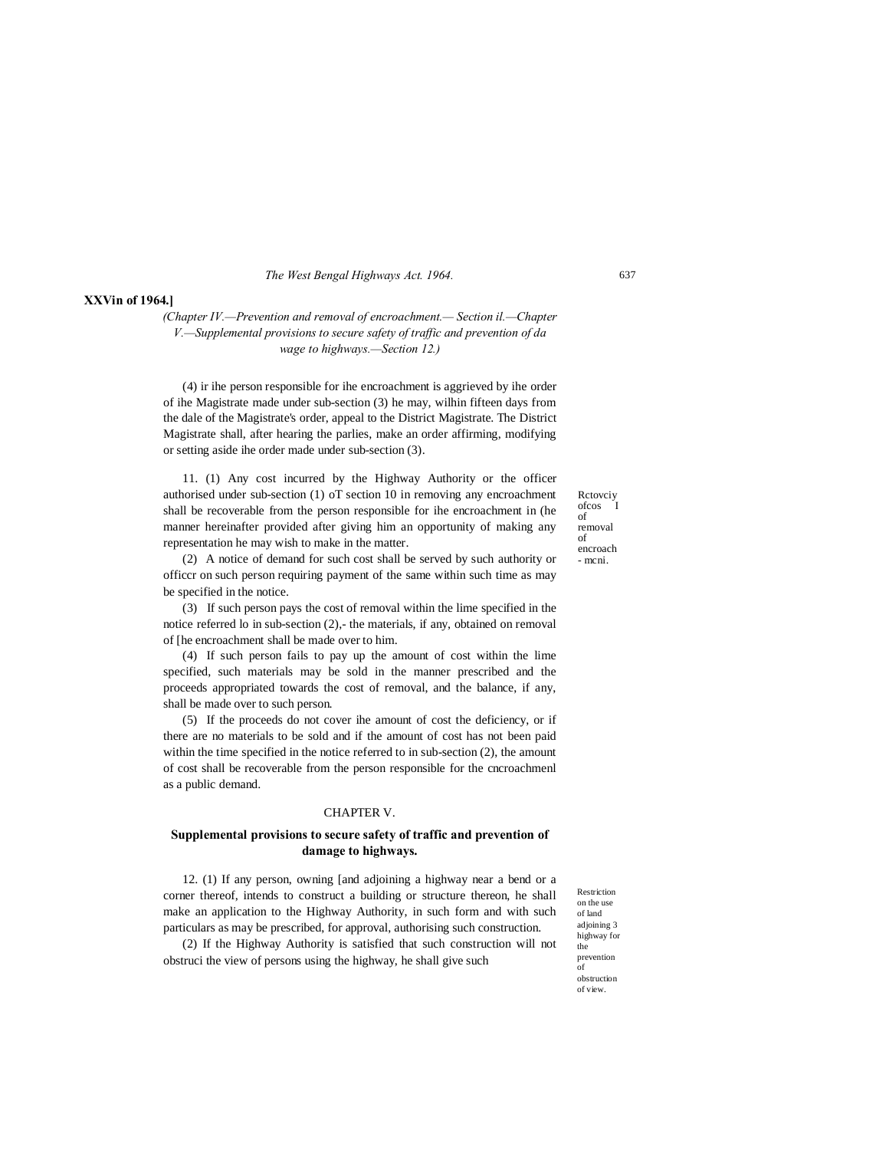#### **XXVin of 1964.]**

*(Chapter IV.—Prevention and removal of encroachment.— Section il.—Chapter V.—Supplemental provisions to secure safety of traffic and prevention of da wage to highways.—Section 12.)*

(4) ir ihe person responsible for ihe encroachment is aggrieved by ihe order of ihe Magistrate made under sub-section (3) he may, wilhin fifteen days from the dale of the Magistrate's order, appeal to the District Magistrate. The District Magistrate shall, after hearing the parlies, make an order affirming, modifying or setting aside ihe order made under sub-section (3).

11. (1) Any cost incurred by the Highway Authority or the officer authorised under sub-section (1) oT section 10 in removing any encroachment shall be recoverable from the person responsible for ihe encroachment in (he manner hereinafter provided after giving him an opportunity of making any representation he may wish to make in the matter.

Rctovciy ofcos of removal of encroach - mcni.

(2) A notice of demand for such cost shall be served by such authority or officcr on such person requiring payment of the same within such time as may be specified in the notice.

(3) If such person pays the cost of removal within the lime specified in the notice referred lo in sub-section (2),- the materials, if any, obtained on removal of [he encroachment shall be made over to him.

(4) If such person fails to pay up the amount of cost within the lime specified, such materials may be sold in the manner prescribed and the proceeds appropriated towards the cost of removal, and the balance, if any, shall be made over to such person.

(5) If the proceeds do not cover ihe amount of cost the deficiency, or if there are no materials to be sold and if the amount of cost has not been paid within the time specified in the notice referred to in sub-section (2), the amount of cost shall be recoverable from the person responsible for the cncroachmenl as a public demand.

### CHAPTER V.

## **Supplemental provisions to secure safety of traffic and prevention of damage to highways.**

12. (1) If any person, owning [and adjoining a highway near a bend or a corner thereof, intends to construct a building or structure thereon, he shall make an application to the Highway Authority, in such form and with such particulars as may be prescribed, for approval, authorising such construction.

(2) If the Highway Authority is satisfied that such construction will not obstruci the view of persons using the highway, he shall give such

Restriction on the use of land adjoining 3 highway for the prevention of obstruction of view.

637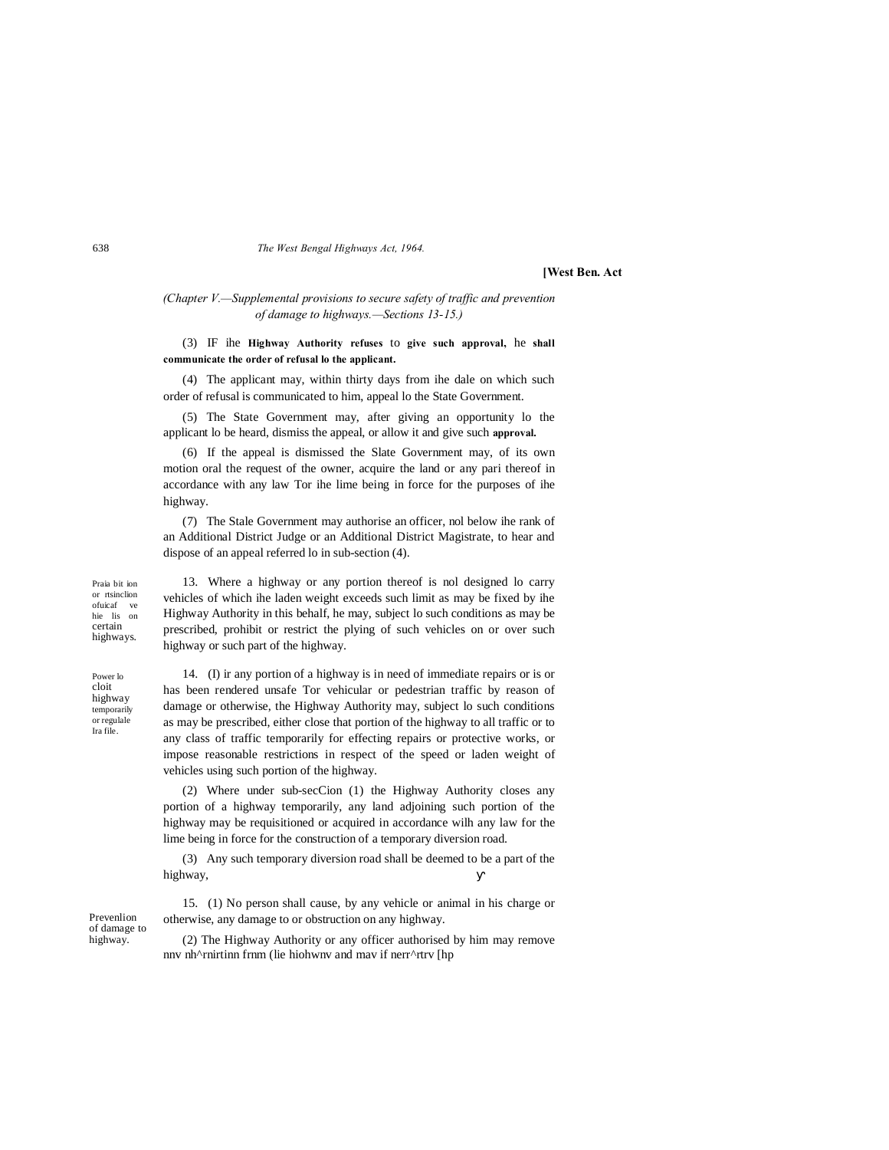**[West Ben. Act**

*(Chapter V.—Supplemental provisions to secure safety of traffic and prevention of damage to highways.—Sections 13-15.)*

### (3) IF ihe **Highway Authority refuses** to **give such approval,** he **shall communicate the order of refusal lo the applicant.**

(4) The applicant may, within thirty days from ihe dale on which such order of refusal is communicated to him, appeal lo the State Government.

(5) The State Government may, after giving an opportunity lo the applicant lo be heard, dismiss the appeal, or allow it and give such **approval.**

(6) If the appeal is dismissed the Slate Government may, of its own motion oral the request of the owner, acquire the land or any pari thereof in accordance with any law Tor ihe lime being in force for the purposes of ihe highway.

(7) The Stale Government may authorise an officer, nol below ihe rank of an Additional District Judge or an Additional District Magistrate, to hear and dispose of an appeal referred lo in sub-section (4).

Praia bit ion or rtsinclion ofuicaf ve hie lis on certain highways.

13. Where a highway or any portion thereof is nol designed lo carry vehicles of which ihe laden weight exceeds such limit as may be fixed by ihe Highway Authority in this behalf, he may, subject lo such conditions as may be prescribed, prohibit or restrict the plying of such vehicles on or over such highway or such part of the highway.

Power lo cloit highway temporarily or regulale Ira file.

14. (I) ir any portion of a highway is in need of immediate repairs or is or has been rendered unsafe Tor vehicular or pedestrian traffic by reason of damage or otherwise, the Highway Authority may, subject lo such conditions as may be prescribed, either close that portion of the highway to all traffic or to any class of traffic temporarily for effecting repairs or protective works, or impose reasonable restrictions in respect of the speed or laden weight of vehicles using such portion of the highway.

(2) Where under sub-secCion (1) the Highway Authority closes any portion of a highway temporarily, any land adjoining such portion of the highway may be requisitioned or acquired in accordance wilh any law for the lime being in force for the construction of a temporary diversion road.

(3) Any such temporary diversion road shall be deemed to be a part of the highway,

Prevenlion of damage to highway.

15. (1) No person shall cause, by any vehicle or animal in his charge or otherwise, any damage to or obstruction on any highway.

(2) The Highway Authority or any officer authorised by him may remove nnv nh^rnirtinn frnm (lie hiohwnv and mav if nerr^rtrv [hp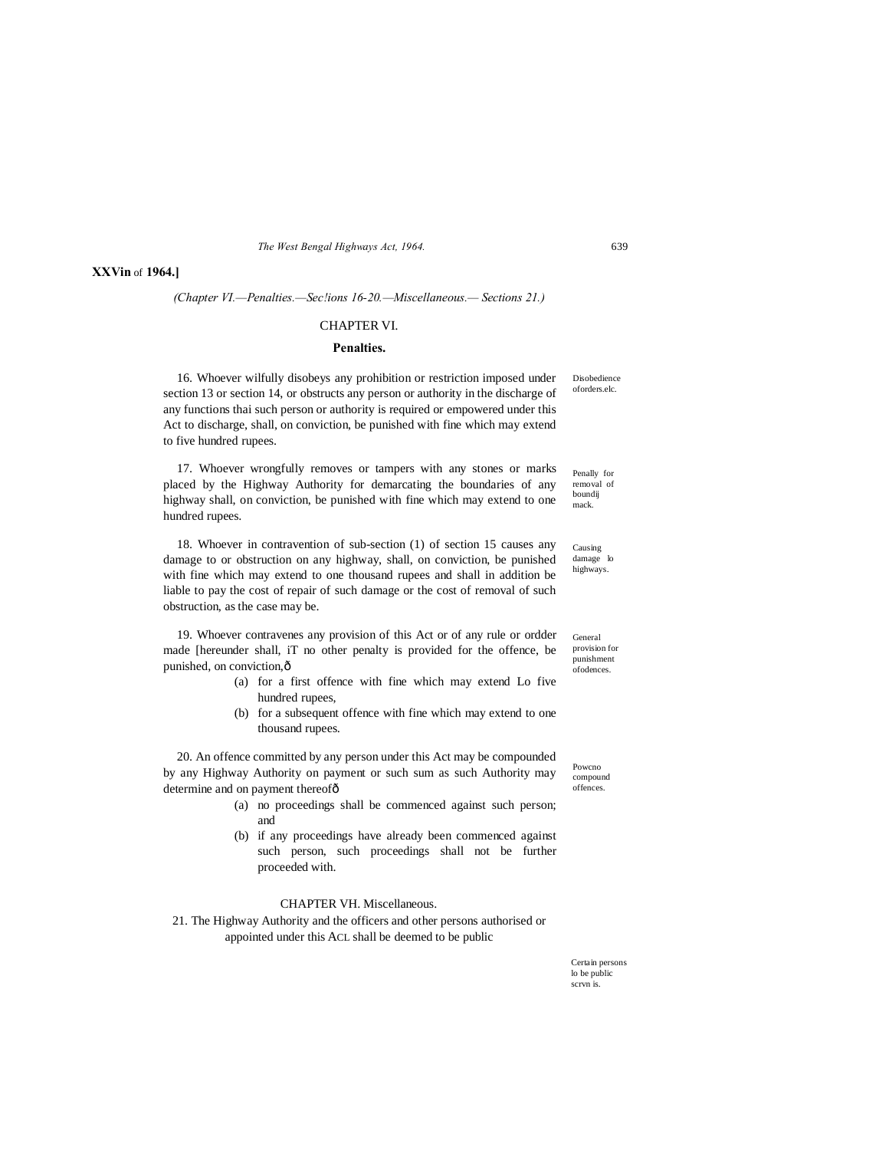**XXVin** of **1964.]**

*(Chapter VI.—Penalties.—Sec!ions 16-20.—Miscellaneous.— Sections 21.)*

#### CHAPTER VI.

#### **Penalties.**

16. Whoever wilfully disobeys any prohibition or restriction imposed under section 13 or section 14, or obstructs any person or authority in the discharge of any functions thai such person or authority is required or empowered under this Act to discharge, shall, on conviction, be punished with fine which may extend to five hundred rupees.

Penally for removal of boundij mack. 17. Whoever wrongfully removes or tampers with any stones or marks placed by the Highway Authority for demarcating the boundaries of any highway shall, on conviction, be punished with fine which may extend to one hundred rupees.

Causing damage lo highways. 18. Whoever in contravention of sub-section (1) of section 15 causes any damage to or obstruction on any highway, shall, on conviction, be punished with fine which may extend to one thousand rupees and shall in addition be liable to pay the cost of repair of such damage or the cost of removal of such obstruction, as the case may be.

19. Whoever contravenes any provision of this Act or of any rule or ordder made [hereunder shall, iT no other penalty is provided for the offence, be punished, on conviction,  $\hat{o}$ 

- (a) for a first offence with fine which may extend Lo five hundred rupees,
- (b) for a subsequent offence with fine which may extend to one thousand rupees.

20. An offence committed by any person under this Act may be compounded by any Highway Authority on payment or such sum as such Authority may determine and on payment thereofô

- (a) no proceedings shall be commenced against such person; and
- (b) if any proceedings have already been commenced against such person, such proceedings shall not be further proceeded with.

### CHAPTER VH. Miscellaneous.

21. The Highway Authority and the officers and other persons authorised or appointed under this ACL shall be deemed to be public

> Certain persons lo be public scrvn is.

General provision for punishment .<br>ofodences.

Powcno compound offences.

**Disobedience** oforders.elc.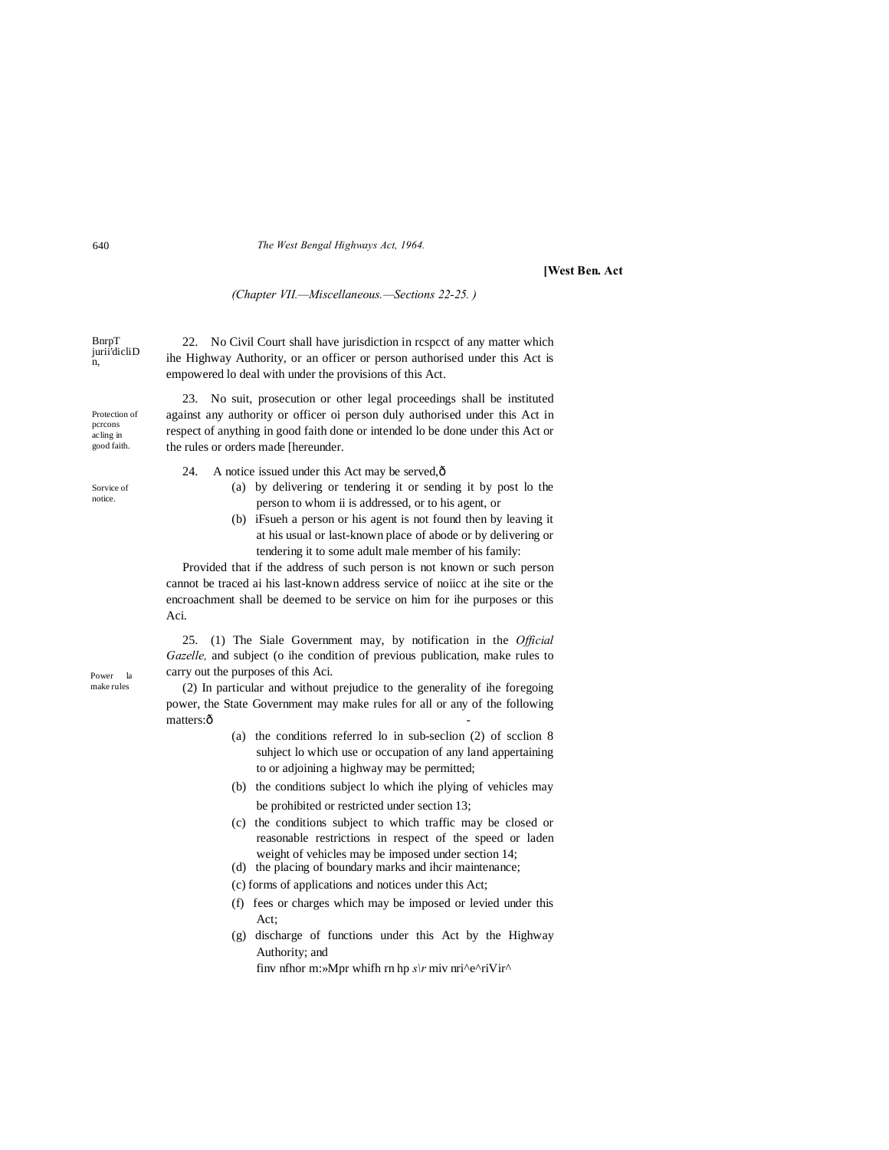**[West Ben. Act**

*(Chapter VII.—Miscellaneous.—Sections 22-25. )*

BnrpT jurii<sup>'</sup>dicliD<br>n,

Protection of pcrcons acling in good faith.

Sorvice of notice.

22. No Civil Court shall have jurisdiction in rcspcct of any matter which ihe Highway Authority, or an officer or person authorised under this Act is empowered lo deal with under the provisions of this Act.

23. No suit, prosecution or other legal proceedings shall be instituted against any authority or officer oi person duly authorised under this Act in respect of anything in good faith done or intended lo be done under this Act or the rules or orders made [hereunder.

- 24. A notice issued under this Act may be served, $\hat{\text{o}}$ 
	- (a) by delivering or tendering it or sending it by post lo the person to whom ii is addressed, or to his agent, or
	- (b) iFsueh a person or his agent is not found then by leaving it at his usual or last-known place of abode or by delivering or tendering it to some adult male member of his family:

Provided that if the address of such person is not known or such person cannot be traced ai his last-known address service of noiicc at ihe site or the encroachment shall be deemed to be service on him for ihe purposes or this Aci.

25. (1) The Siale Government may, by notification in the *Official Gazelle,* and subject (o ihe condition of previous publication, make rules to carry out the purposes of this Aci.

(2) In particular and without prejudice to the generality of ihe foregoing power, the State Government may make rules for all or any of the following matters:ô

- (a) the conditions referred lo in sub-seclion (2) of scclion 8 suhject lo which use or occupation of any land appertaining to or adjoining a highway may be permitted;
- (b) the conditions subject lo which ihe plying of vehicles may be prohibited or restricted under section 13;
- (c) the conditions subject to which traffic may be closed or reasonable restrictions in respect of the speed or laden weight of vehicles may be imposed under section 14;
- (d) the placing of boundary marks and ihcir maintenance;
- (c) forms of applications and notices under this Act;
- (f) fees or charges which may be imposed or levied under this Act;
- (g) discharge of functions under this Act by the Highway Authority; and

finv nfhor m:»Mpr whifh rn hp  $s\vert r$  miv nri^e^riVir^

Power la make rules